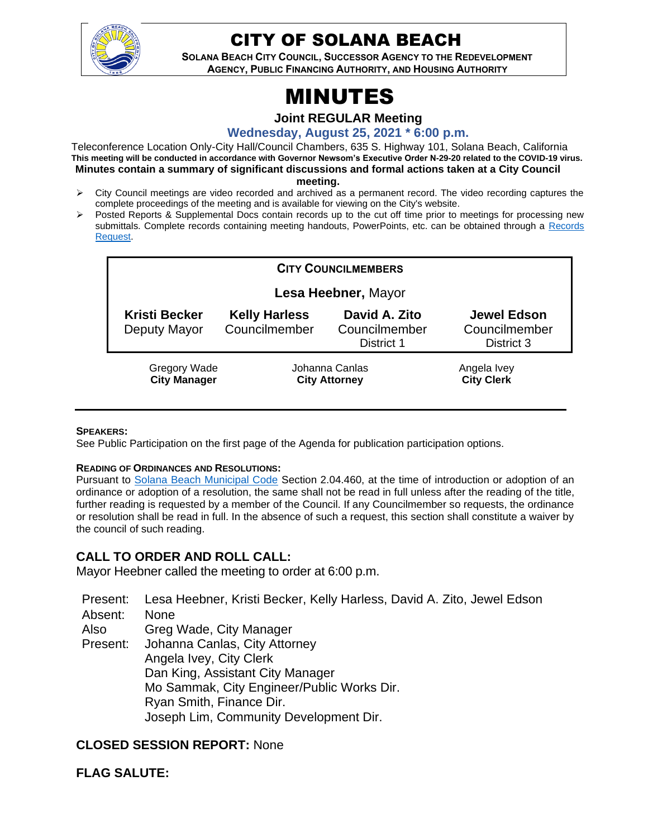

# CITY OF SOLANA BEACH

**SOLANA BEACH CITY COUNCIL, SUCCESSOR AGENCY TO THE REDEVELOPMENT AGENCY, PUBLIC FINANCING AUTHORITY, AND HOUSING AUTHORITY** 

# MINUTES

**Joint REGULAR Meeting**

**Wednesday, August 25, 2021 \* 6:00 p.m.** 

Teleconference Location Only-City Hall/Council Chambers, 635 S. Highway 101, Solana Beach, California **This meeting will be conducted in accordance with Governor Newsom's Executive Order N-29-20 related to the COVID-19 virus. Minutes contain a summary of significant discussions and formal actions taken at a City Council meeting.**

- ➢ City Council meetings are video recorded and archived as a permanent record. The video recording captures the complete proceedings of the meeting and is available for viewing on the City's website.
- ➢ Posted Reports & Supplemental Docs contain records up to the cut off time prior to meetings for processing new submittals. Complete records containing meeting handouts, PowerPoints, etc. can be obtained through a Records [Request.](http://www.ci.solana-beach.ca.us/index.asp?SEC=F5D45D10-70CE-4291-A27C-7BD633FC6742&Type=B_BASIC)

| <b>CITY COUNCILMEMBERS</b>                 |                                        |                                              |                                                   |
|--------------------------------------------|----------------------------------------|----------------------------------------------|---------------------------------------------------|
| Lesa Heebner, Mayor                        |                                        |                                              |                                                   |
| <b>Kristi Becker</b><br>Deputy Mayor       | <b>Kelly Harless</b><br>Councilmember  | David A. Zito<br>Councilmember<br>District 1 | <b>Jewel Edson</b><br>Councilmember<br>District 3 |
| <b>Gregory Wade</b><br><b>City Manager</b> | Johanna Canlas<br><b>City Attorney</b> |                                              | Angela Ivey<br><b>City Clerk</b>                  |

#### **SPEAKERS:**

See Public Participation on the first page of the Agenda for publication participation options.

#### **READING OF ORDINANCES AND RESOLUTIONS:**

Pursuant to [Solana Beach Municipal Code](https://www.codepublishing.com/CA/SolanaBeach/) Section 2.04.460, at the time of introduction or adoption of an ordinance or adoption of a resolution, the same shall not be read in full unless after the reading of the title, further reading is requested by a member of the Council. If any Councilmember so requests, the ordinance or resolution shall be read in full. In the absence of such a request, this section shall constitute a waiver by the council of such reading.

#### **CALL TO ORDER AND ROLL CALL:**

Mayor Heebner called the meeting to order at 6:00 p.m.

Present: Lesa Heebner, Kristi Becker, Kelly Harless, David A. Zito, Jewel Edson Absent: None Also Present: Greg Wade, City Manager Johanna Canlas, City Attorney Angela Ivey, City Clerk Dan King, Assistant City Manager Mo Sammak, City Engineer/Public Works Dir. Ryan Smith, Finance Dir. Joseph Lim, Community Development Dir.

#### **CLOSED SESSION REPORT:** None

**FLAG SALUTE:**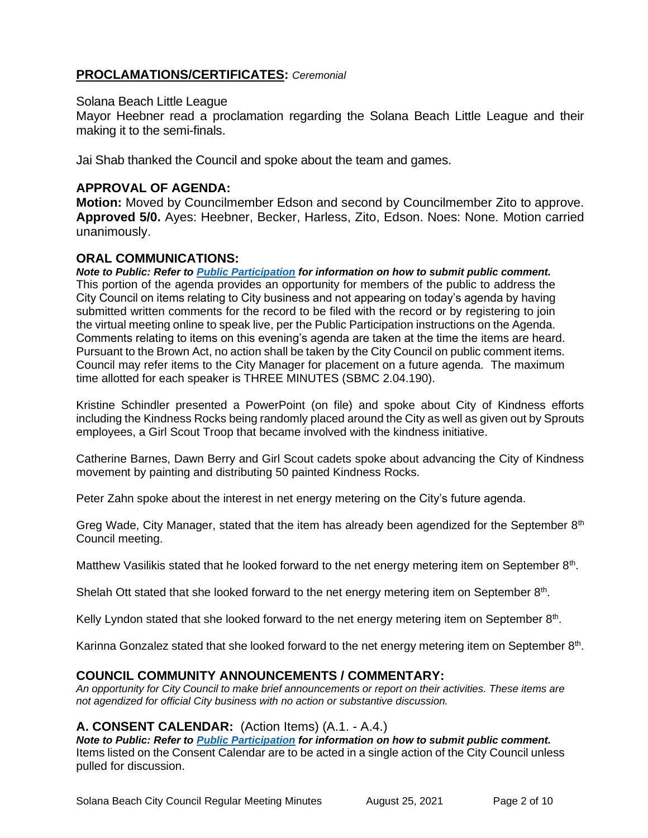# **PROCLAMATIONS/CERTIFICATES:** *Ceremonial*

#### Solana Beach Little League

Mayor Heebner read a proclamation regarding the Solana Beach Little League and their making it to the semi-finals.

Jai Shab thanked the Council and spoke about the team and games.

# **APPROVAL OF AGENDA:**

**Motion:** Moved by Councilmember Edson and second by Councilmember Zito to approve. **Approved 5/0.** Ayes: Heebner, Becker, Harless, Zito, Edson. Noes: None. Motion carried unanimously.

# **ORAL COMMUNICATIONS:**

*Note to Public: Refer to Public Participation for information on how to submit public comment.*  This portion of the agenda provides an opportunity for members of the public to address the City Council on items relating to City business and not appearing on today's agenda by having submitted written comments for the record to be filed with the record or by registering to join the virtual meeting online to speak live, per the Public Participation instructions on the Agenda. Comments relating to items on this evening's agenda are taken at the time the items are heard. Pursuant to the Brown Act, no action shall be taken by the City Council on public comment items. Council may refer items to the City Manager for placement on a future agenda. The maximum time allotted for each speaker is THREE MINUTES (SBMC 2.04.190).

Kristine Schindler presented a PowerPoint (on file) and spoke about City of Kindness efforts including the Kindness Rocks being randomly placed around the City as well as given out by Sprouts employees, a Girl Scout Troop that became involved with the kindness initiative.

Catherine Barnes, Dawn Berry and Girl Scout cadets spoke about advancing the City of Kindness movement by painting and distributing 50 painted Kindness Rocks.

Peter Zahn spoke about the interest in net energy metering on the City's future agenda.

Greg Wade, City Manager, stated that the item has already been agendized for the September 8<sup>th</sup> Council meeting.

Matthew Vasilikis stated that he looked forward to the net energy metering item on September  $8<sup>th</sup>$ .

Shelah Ott stated that she looked forward to the net energy metering item on September  $8<sup>th</sup>$ .

Kelly Lyndon stated that she looked forward to the net energy metering item on September  $8<sup>th</sup>$ .

Karinna Gonzalez stated that she looked forward to the net energy metering item on September 8<sup>th</sup>.

# **COUNCIL COMMUNITY ANNOUNCEMENTS / COMMENTARY:**

*An opportunity for City Council to make brief announcements or report on their activities. These items are not agendized for official City business with no action or substantive discussion.* 

# **A. CONSENT CALENDAR:** (Action Items) (A.1. - A.4.)

*Note to Public: Refer to Public Participation for information on how to submit public comment.*  Items listed on the Consent Calendar are to be acted in a single action of the City Council unless pulled for discussion.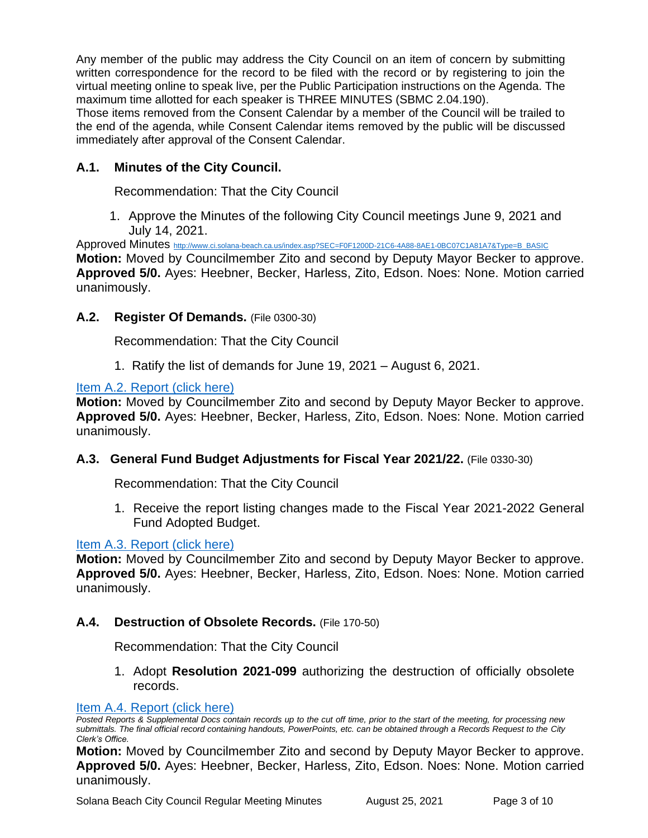Any member of the public may address the City Council on an item of concern by submitting written correspondence for the record to be filed with the record or by registering to join the virtual meeting online to speak live, per the Public Participation instructions on the Agenda. The maximum time allotted for each speaker is THREE MINUTES (SBMC 2.04.190).

Those items removed from the Consent Calendar by a member of the Council will be trailed to the end of the agenda, while Consent Calendar items removed by the public will be discussed immediately after approval of the Consent Calendar.

# **A.1. Minutes of the City Council.**

Recommendation: That the City Council

1. Approve the Minutes of the following City Council meetings June 9, 2021 and July 14, 2021.

Approved Minutes [http://www.ci.solana-beach.ca.us/index.asp?SEC=F0F1200D-21C6-4A88-8AE1-0BC07C1A81A7&Type=B\\_BASIC](http://www.ci.solana-beach.ca.us/index.asp?SEC=F0F1200D-21C6-4A88-8AE1-0BC07C1A81A7&Type=B_BASIC) **Motion:** Moved by Councilmember Zito and second by Deputy Mayor Becker to approve. **Approved 5/0.** Ayes: Heebner, Becker, Harless, Zito, Edson. Noes: None. Motion carried unanimously.

# **A.2. Register Of Demands.** (File 0300-30)

Recommendation: That the City Council

1. Ratify the list of demands for June 19, 2021 – August 6, 2021.

#### [Item A.2. Report \(click here\)](https://solanabeach.govoffice3.com/vertical/Sites/%7B840804C2-F869-4904-9AE3-720581350CE7%7D/uploads/Item_A.2._Report_(click_here)_08-25-21_O.pdf)

**Motion:** Moved by Councilmember Zito and second by Deputy Mayor Becker to approve. **Approved 5/0.** Ayes: Heebner, Becker, Harless, Zito, Edson. Noes: None. Motion carried unanimously.

#### **A.3. General Fund Budget Adjustments for Fiscal Year 2021/22.** (File 0330-30)

Recommendation: That the City Council

1. Receive the report listing changes made to the Fiscal Year 2021-2022 General Fund Adopted Budget.

# [Item A.3. Report \(click here\)](https://solanabeach.govoffice3.com/vertical/Sites/%7B840804C2-F869-4904-9AE3-720581350CE7%7D/uploads/Item_A.3._Report_(click_here)_08-25-21_O.pdf)

**Motion:** Moved by Councilmember Zito and second by Deputy Mayor Becker to approve. **Approved 5/0.** Ayes: Heebner, Becker, Harless, Zito, Edson. Noes: None. Motion carried unanimously.

# **A.4. Destruction of Obsolete Records.** (File 170-50)

Recommendation: That the City Council

1. Adopt **Resolution 2021-099** authorizing the destruction of officially obsolete records.

#### [Item A.4. Report \(click here\)](https://solanabeach.govoffice3.com/vertical/Sites/%7B840804C2-F869-4904-9AE3-720581350CE7%7D/uploads/Item_A.4._Report_(click_here)_08-25-21_O.pdf)

*Posted Reports & Supplemental Docs contain records up to the cut off time, prior to the start of the meeting, for processing new submittals. The final official record containing handouts, PowerPoints, etc. can be obtained through a Records Request to the City Clerk's Office.*

**Motion:** Moved by Councilmember Zito and second by Deputy Mayor Becker to approve. **Approved 5/0.** Ayes: Heebner, Becker, Harless, Zito, Edson. Noes: None. Motion carried unanimously.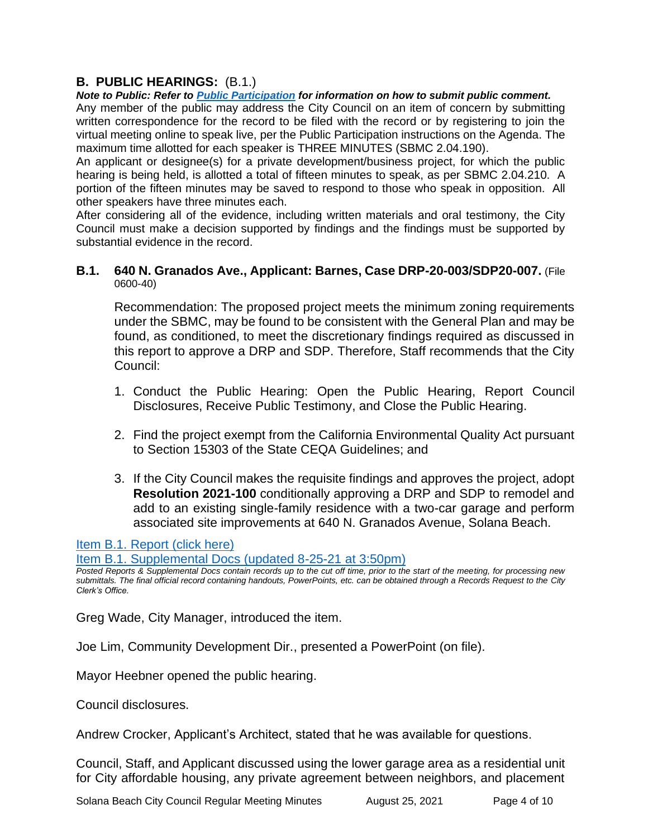# **B. PUBLIC HEARINGS:** (B.1.)

*Note to Public: Refer to Public Participation for information on how to submit public comment.*  Any member of the public may address the City Council on an item of concern by submitting written correspondence for the record to be filed with the record or by registering to join the virtual meeting online to speak live, per the Public Participation instructions on the Agenda. The maximum time allotted for each speaker is THREE MINUTES (SBMC 2.04.190).

An applicant or designee(s) for a private development/business project, for which the public hearing is being held, is allotted a total of fifteen minutes to speak, as per SBMC 2.04.210. A portion of the fifteen minutes may be saved to respond to those who speak in opposition. All other speakers have three minutes each.

After considering all of the evidence, including written materials and oral testimony, the City Council must make a decision supported by findings and the findings must be supported by substantial evidence in the record.

#### **B.1. 640 N. Granados Ave., Applicant: Barnes, Case DRP-20-003/SDP20-007.** (File 0600-40)

Recommendation: The proposed project meets the minimum zoning requirements under the SBMC, may be found to be consistent with the General Plan and may be found, as conditioned, to meet the discretionary findings required as discussed in this report to approve a DRP and SDP. Therefore, Staff recommends that the City Council:

- 1. Conduct the Public Hearing: Open the Public Hearing, Report Council Disclosures, Receive Public Testimony, and Close the Public Hearing.
- 2. Find the project exempt from the California Environmental Quality Act pursuant to Section 15303 of the State CEQA Guidelines; and
- 3. If the City Council makes the requisite findings and approves the project, adopt **Resolution 2021-100** conditionally approving a DRP and SDP to remodel and add to an existing single-family residence with a two-car garage and perform associated site improvements at 640 N. Granados Avenue, Solana Beach.

# [Item B.1. Report \(click here\)](https://solanabeach.govoffice3.com/vertical/Sites/%7B840804C2-F869-4904-9AE3-720581350CE7%7D/uploads/Item_B.1._Report_(click_here)_08-25-21_O.pdf)

[Item B.1. Supplemental Docs \(updated 8-25-21 at 3:50pm\)](https://solanabeach.govoffice3.com/vertical/Sites/%7B840804C2-F869-4904-9AE3-720581350CE7%7D/uploads/Item_B.1._Supplemental_Docs_(upd._8-25_340pm)_-_O.pdf)

*Posted Reports & Supplemental Docs contain records up to the cut off time, prior to the start of the meeting, for processing new submittals. The final official record containing handouts, PowerPoints, etc. can be obtained through a Records Request to the City Clerk's Office.*

Greg Wade, City Manager, introduced the item.

Joe Lim, Community Development Dir., presented a PowerPoint (on file).

Mayor Heebner opened the public hearing.

Council disclosures.

Andrew Crocker, Applicant's Architect, stated that he was available for questions.

Council, Staff, and Applicant discussed using the lower garage area as a residential unit for City affordable housing, any private agreement between neighbors, and placement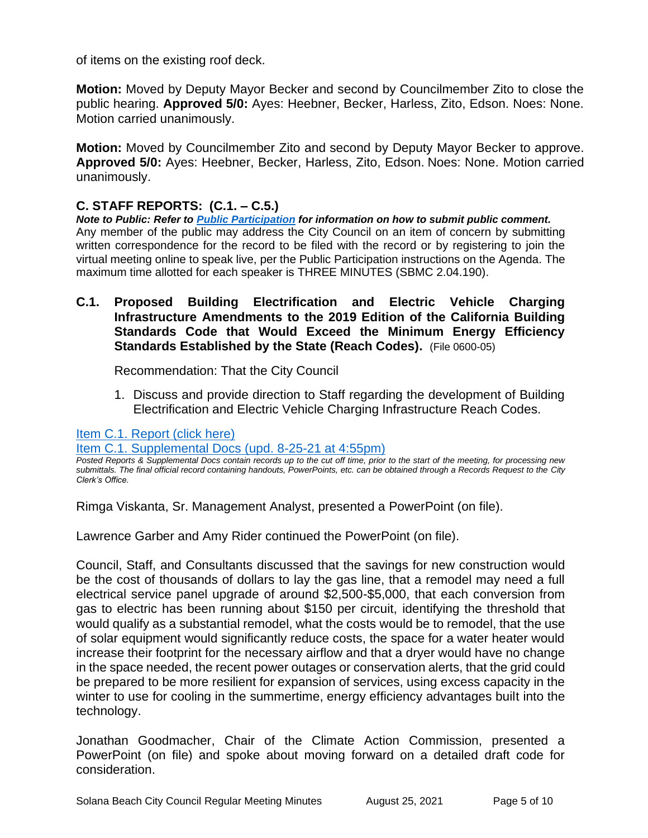of items on the existing roof deck.

**Motion:** Moved by Deputy Mayor Becker and second by Councilmember Zito to close the public hearing. **Approved 5/0:** Ayes: Heebner, Becker, Harless, Zito, Edson. Noes: None. Motion carried unanimously.

**Motion:** Moved by Councilmember Zito and second by Deputy Mayor Becker to approve. **Approved 5/0:** Ayes: Heebner, Becker, Harless, Zito, Edson. Noes: None. Motion carried unanimously.

# **C. STAFF REPORTS: (C.1. – C.5.)**

*Note to Public: Refer to Public Participation for information on how to submit public comment.*  Any member of the public may address the City Council on an item of concern by submitting written correspondence for the record to be filed with the record or by registering to join the virtual meeting online to speak live, per the Public Participation instructions on the Agenda. The maximum time allotted for each speaker is THREE MINUTES (SBMC 2.04.190).

**C.1. Proposed Building Electrification and Electric Vehicle Charging Infrastructure Amendments to the 2019 Edition of the California Building Standards Code that Would Exceed the Minimum Energy Efficiency Standards Established by the State (Reach Codes).** (File 0600-05)

Recommendation: That the City Council

1. Discuss and provide direction to Staff regarding the development of Building Electrification and Electric Vehicle Charging Infrastructure Reach Codes.

# [Item C.1. Report \(click here\)](https://solanabeach.govoffice3.com/vertical/Sites/%7B840804C2-F869-4904-9AE3-720581350CE7%7D/uploads/Item_C.1._Report_(click_here)_08-25-21_O.pdf)

[Item C.1. Supplemental Docs \(upd. 8-25-21](https://solanabeach.govoffice3.com/vertical/Sites/%7B840804C2-F869-4904-9AE3-720581350CE7%7D/uploads/Item_C.1._Supplemental_Docs_(upd_8-25_450pm)_-_O.pdf) at 4:55pm)

*Posted Reports & Supplemental Docs contain records up to the cut off time, prior to the start of the meeting, for processing new submittals. The final official record containing handouts, PowerPoints, etc. can be obtained through a Records Request to the City Clerk's Office.*

Rimga Viskanta, Sr. Management Analyst, presented a PowerPoint (on file).

Lawrence Garber and Amy Rider continued the PowerPoint (on file).

Council, Staff, and Consultants discussed that the savings for new construction would be the cost of thousands of dollars to lay the gas line, that a remodel may need a full electrical service panel upgrade of around \$2,500-\$5,000, that each conversion from gas to electric has been running about \$150 per circuit, identifying the threshold that would qualify as a substantial remodel, what the costs would be to remodel, that the use of solar equipment would significantly reduce costs, the space for a water heater would increase their footprint for the necessary airflow and that a dryer would have no change in the space needed, the recent power outages or conservation alerts, that the grid could be prepared to be more resilient for expansion of services, using excess capacity in the winter to use for cooling in the summertime, energy efficiency advantages built into the technology.

Jonathan Goodmacher, Chair of the Climate Action Commission, presented a PowerPoint (on file) and spoke about moving forward on a detailed draft code for consideration.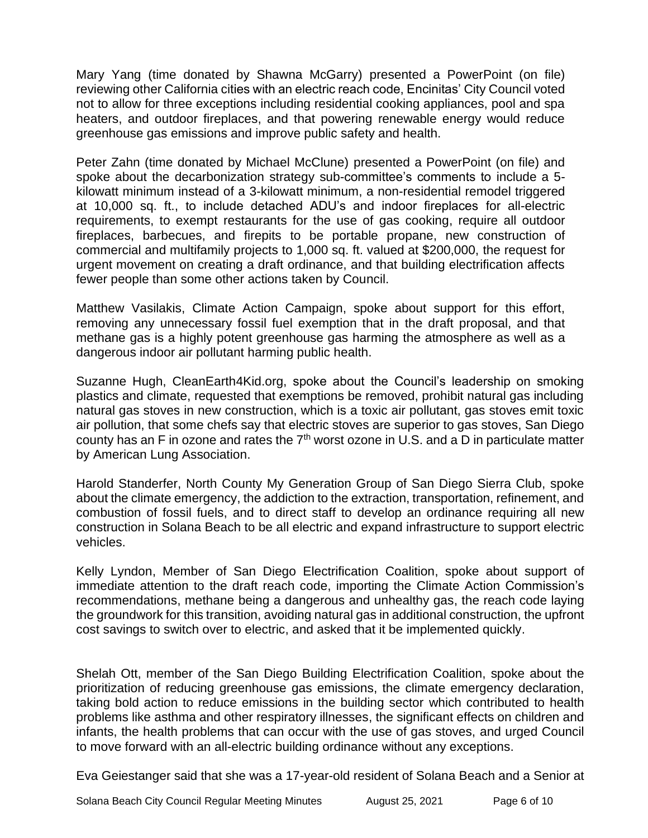Mary Yang (time donated by Shawna McGarry) presented a PowerPoint (on file) reviewing other California cities with an electric reach code, Encinitas' City Council voted not to allow for three exceptions including residential cooking appliances, pool and spa heaters, and outdoor fireplaces, and that powering renewable energy would reduce greenhouse gas emissions and improve public safety and health.

Peter Zahn (time donated by Michael McClune) presented a PowerPoint (on file) and spoke about the decarbonization strategy sub-committee's comments to include a 5 kilowatt minimum instead of a 3-kilowatt minimum, a non-residential remodel triggered at 10,000 sq. ft., to include detached ADU's and indoor fireplaces for all-electric requirements, to exempt restaurants for the use of gas cooking, require all outdoor fireplaces, barbecues, and firepits to be portable propane, new construction of commercial and multifamily projects to 1,000 sq. ft. valued at \$200,000, the request for urgent movement on creating a draft ordinance, and that building electrification affects fewer people than some other actions taken by Council.

Matthew Vasilakis, Climate Action Campaign, spoke about support for this effort, removing any unnecessary fossil fuel exemption that in the draft proposal, and that methane gas is a highly potent greenhouse gas harming the atmosphere as well as a dangerous indoor air pollutant harming public health.

Suzanne Hugh, CleanEarth4Kid.org, spoke about the Council's leadership on smoking plastics and climate, requested that exemptions be removed, prohibit natural gas including natural gas stoves in new construction, which is a toxic air pollutant, gas stoves emit toxic air pollution, that some chefs say that electric stoves are superior to gas stoves, San Diego county has an F in ozone and rates the 7th worst ozone in U.S. and a D in particulate matter by American Lung Association.

Harold Standerfer, North County My Generation Group of San Diego Sierra Club, spoke about the climate emergency, the addiction to the extraction, transportation, refinement, and combustion of fossil fuels, and to direct staff to develop an ordinance requiring all new construction in Solana Beach to be all electric and expand infrastructure to support electric vehicles.

Kelly Lyndon, Member of San Diego Electrification Coalition, spoke about support of immediate attention to the draft reach code, importing the Climate Action Commission's recommendations, methane being a dangerous and unhealthy gas, the reach code laying the groundwork for this transition, avoiding natural gas in additional construction, the upfront cost savings to switch over to electric, and asked that it be implemented quickly.

Shelah Ott, member of the San Diego Building Electrification Coalition, spoke about the prioritization of reducing greenhouse gas emissions, the climate emergency declaration, taking bold action to reduce emissions in the building sector which contributed to health problems like asthma and other respiratory illnesses, the significant effects on children and infants, the health problems that can occur with the use of gas stoves, and urged Council to move forward with an all-electric building ordinance without any exceptions.

Eva Geiestanger said that she was a 17-year-old resident of Solana Beach and a Senior at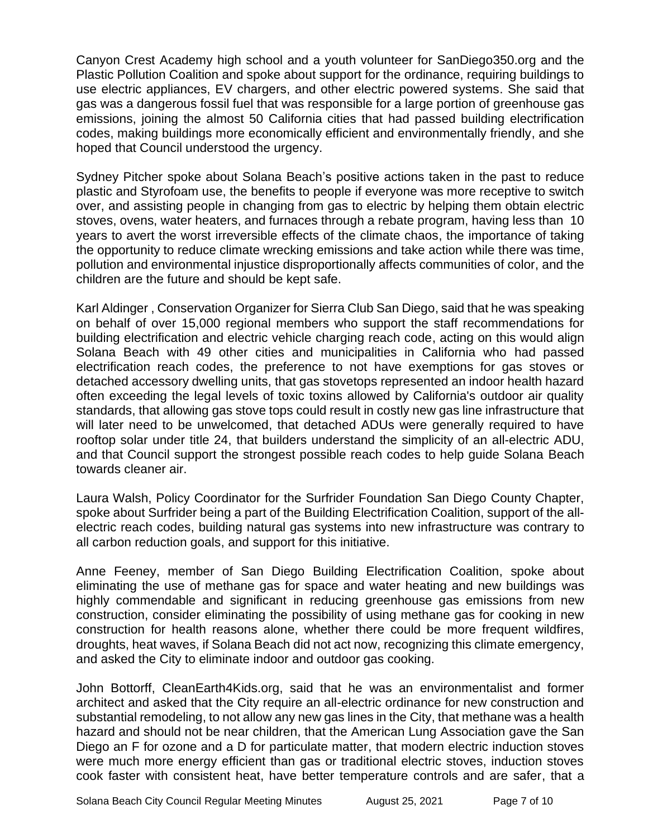Canyon Crest Academy high school and a youth volunteer for SanDiego350.org and the Plastic Pollution Coalition and spoke about support for the ordinance, requiring buildings to use electric appliances, EV chargers, and other electric powered systems. She said that gas was a dangerous fossil fuel that was responsible for a large portion of greenhouse gas emissions, joining the almost 50 California cities that had passed building electrification codes, making buildings more economically efficient and environmentally friendly, and she hoped that Council understood the urgency.

Sydney Pitcher spoke about Solana Beach's positive actions taken in the past to reduce plastic and Styrofoam use, the benefits to people if everyone was more receptive to switch over, and assisting people in changing from gas to electric by helping them obtain electric stoves, ovens, water heaters, and furnaces through a rebate program, having less than 10 years to avert the worst irreversible effects of the climate chaos, the importance of taking the opportunity to reduce climate wrecking emissions and take action while there was time, pollution and environmental injustice disproportionally affects communities of color, and the children are the future and should be kept safe.

Karl Aldinger , Conservation Organizer for Sierra Club San Diego, said that he was speaking on behalf of over 15,000 regional members who support the staff recommendations for building electrification and electric vehicle charging reach code, acting on this would align Solana Beach with 49 other cities and municipalities in California who had passed electrification reach codes, the preference to not have exemptions for gas stoves or detached accessory dwelling units, that gas stovetops represented an indoor health hazard often exceeding the legal levels of toxic toxins allowed by California's outdoor air quality standards, that allowing gas stove tops could result in costly new gas line infrastructure that will later need to be unwelcomed, that detached ADUs were generally required to have rooftop solar under title 24, that builders understand the simplicity of an all-electric ADU, and that Council support the strongest possible reach codes to help guide Solana Beach towards cleaner air.

Laura Walsh, Policy Coordinator for the Surfrider Foundation San Diego County Chapter, spoke about Surfrider being a part of the Building Electrification Coalition, support of the allelectric reach codes, building natural gas systems into new infrastructure was contrary to all carbon reduction goals, and support for this initiative.

Anne Feeney, member of San Diego Building Electrification Coalition, spoke about eliminating the use of methane gas for space and water heating and new buildings was highly commendable and significant in reducing greenhouse gas emissions from new construction, consider eliminating the possibility of using methane gas for cooking in new construction for health reasons alone, whether there could be more frequent wildfires, droughts, heat waves, if Solana Beach did not act now, recognizing this climate emergency, and asked the City to eliminate indoor and outdoor gas cooking.

John Bottorff, CleanEarth4Kids.org, said that he was an environmentalist and former architect and asked that the City require an all-electric ordinance for new construction and substantial remodeling, to not allow any new gas lines in the City, that methane was a health hazard and should not be near children, that the American Lung Association gave the San Diego an F for ozone and a D for particulate matter, that modern electric induction stoves were much more energy efficient than gas or traditional electric stoves, induction stoves cook faster with consistent heat, have better temperature controls and are safer, that a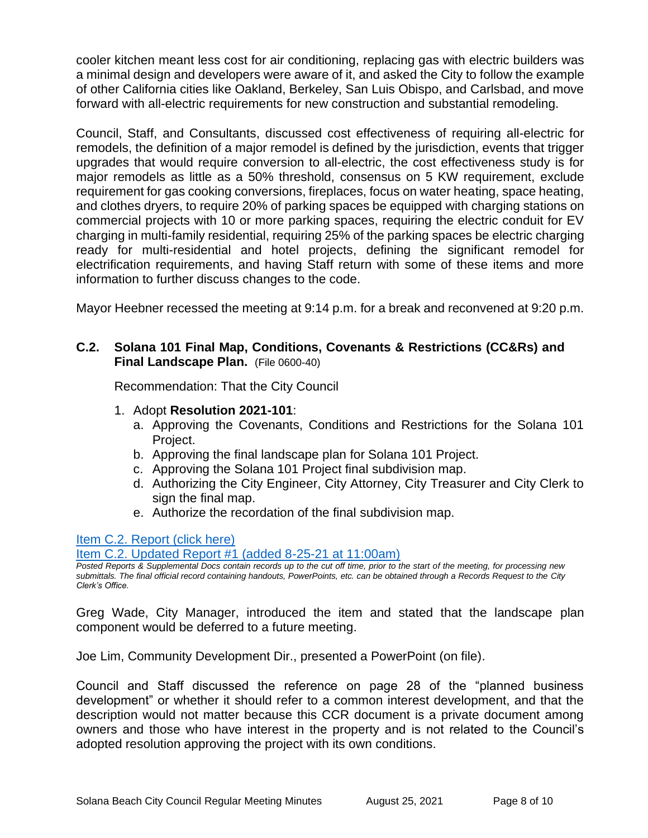cooler kitchen meant less cost for air conditioning, replacing gas with electric builders was a minimal design and developers were aware of it, and asked the City to follow the example of other California cities like Oakland, Berkeley, San Luis Obispo, and Carlsbad, and move forward with all-electric requirements for new construction and substantial remodeling.

Council, Staff, and Consultants, discussed cost effectiveness of requiring all-electric for remodels, the definition of a major remodel is defined by the jurisdiction, events that trigger upgrades that would require conversion to all-electric, the cost effectiveness study is for major remodels as little as a 50% threshold, consensus on 5 KW requirement, exclude requirement for gas cooking conversions, fireplaces, focus on water heating, space heating, and clothes dryers, to require 20% of parking spaces be equipped with charging stations on commercial projects with 10 or more parking spaces, requiring the electric conduit for EV charging in multi-family residential, requiring 25% of the parking spaces be electric charging ready for multi-residential and hotel projects, defining the significant remodel for electrification requirements, and having Staff return with some of these items and more information to further discuss changes to the code.

Mayor Heebner recessed the meeting at 9:14 p.m. for a break and reconvened at 9:20 p.m.

# **C.2. Solana 101 Final Map, Conditions, Covenants & Restrictions (CC&Rs) and Final Landscape Plan.** (File 0600-40)

Recommendation: That the City Council

- 1. Adopt **Resolution 2021-101**:
	- a. Approving the Covenants, Conditions and Restrictions for the Solana 101 Project.
	- b. Approving the final landscape plan for Solana 101 Project.
	- c. Approving the Solana 101 Project final subdivision map.
	- d. Authorizing the City Engineer, City Attorney, City Treasurer and City Clerk to sign the final map.
	- e. Authorize the recordation of the final subdivision map.

[Item C.2. Report](https://solanabeach.govoffice3.com/vertical/Sites/%7B840804C2-F869-4904-9AE3-720581350CE7%7D/uploads/Item_C.2._Report_(click_here)_08-25-21_O.pdf) (click here)

[Item C.2. Updated Report #1 \(added 8-25-21 at 11:00am\)](https://solanabeach.govoffice3.com/vertical/Sites/%7B840804C2-F869-4904-9AE3-720581350CE7%7D/uploads/Item_C.2._Updated_Report_1_(8-25_at_930am)_-_O.pdf)

*Posted Reports & Supplemental Docs contain records up to the cut off time, prior to the start of the meeting, for processing new submittals. The final official record containing handouts, PowerPoints, etc. can be obtained through a Records Request to the City Clerk's Office.*

Greg Wade, City Manager, introduced the item and stated that the landscape plan component would be deferred to a future meeting.

Joe Lim, Community Development Dir., presented a PowerPoint (on file).

Council and Staff discussed the reference on page 28 of the "planned business development" or whether it should refer to a common interest development, and that the description would not matter because this CCR document is a private document among owners and those who have interest in the property and is not related to the Council's adopted resolution approving the project with its own conditions.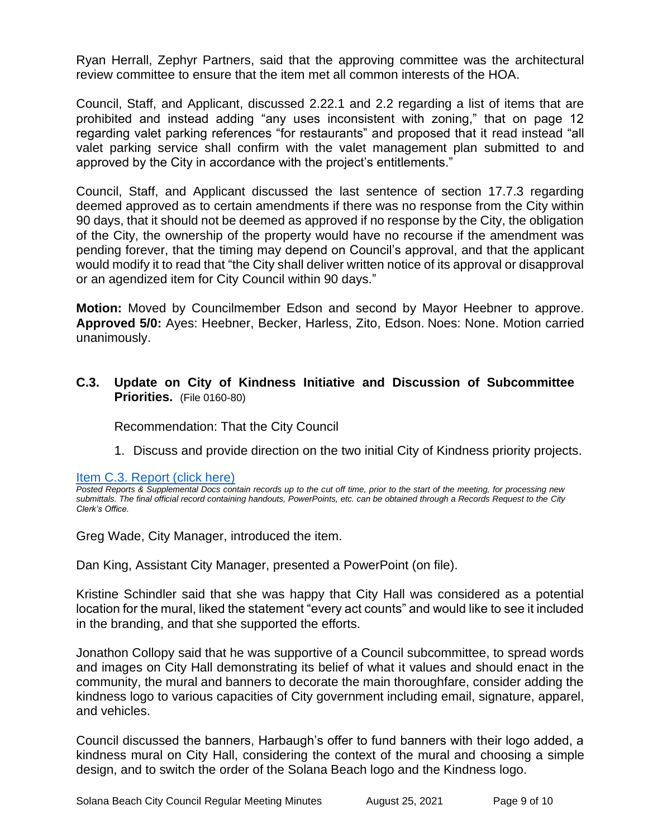Ryan Herrall, Zephyr Partners, said that the approving committee was the architectural review committee to ensure that the item met all common interests of the HOA.

Council, Staff, and Applicant, discussed 2.22.1 and 2.2 regarding a list of items that are prohibited and instead adding "any uses inconsistent with zoning," that on page 12 regarding valet parking references "for restaurants" and proposed that it read instead "all valet parking service shall confirm with the valet management plan submitted to and approved by the City in accordance with the project's entitlements."

Council, Staff, and Applicant discussed the last sentence of section 17.7.3 regarding deemed approved as to certain amendments if there was no response from the City within 90 days, that it should not be deemed as approved if no response by the City, the obligation of the City, the ownership of the property would have no recourse if the amendment was pending forever, that the timing may depend on Council's approval, and that the applicant would modify it to read that "the City shall deliver written notice of its approval or disapproval or an agendized item for City Council within 90 days."

**Motion:** Moved by Councilmember Edson and second by Mayor Heebner to approve. **Approved 5/0:** Ayes: Heebner, Becker, Harless, Zito, Edson. Noes: None. Motion carried unanimously.

**C.3. Update on City of Kindness Initiative and Discussion of Subcommittee Priorities.** (File 0160-80)

Recommendation: That the City Council

1. Discuss and provide direction on the two initial City of Kindness priority projects.

[Item C.3. Report \(click here\)](https://solanabeach.govoffice3.com/vertical/Sites/%7B840804C2-F869-4904-9AE3-720581350CE7%7D/uploads/Item_C.3._Report_(click_here)_08-25-21_O.pdf) 

*Posted Reports & Supplemental Docs contain records up to the cut off time, prior to the start of the meeting, for processing new submittals. The final official record containing handouts, PowerPoints, etc. can be obtained through a Records Request to the City Clerk's Office.*

Greg Wade, City Manager, introduced the item.

Dan King, Assistant City Manager, presented a PowerPoint (on file).

Kristine Schindler said that she was happy that City Hall was considered as a potential location for the mural, liked the statement "every act counts" and would like to see it included in the branding, and that she supported the efforts.

Jonathon Collopy said that he was supportive of a Council subcommittee, to spread words and images on City Hall demonstrating its belief of what it values and should enact in the community, the mural and banners to decorate the main thoroughfare, consider adding the kindness logo to various capacities of City government including email, signature, apparel, and vehicles.

Council discussed the banners, Harbaugh's offer to fund banners with their logo added, a kindness mural on City Hall, considering the context of the mural and choosing a simple design, and to switch the order of the Solana Beach logo and the Kindness logo.